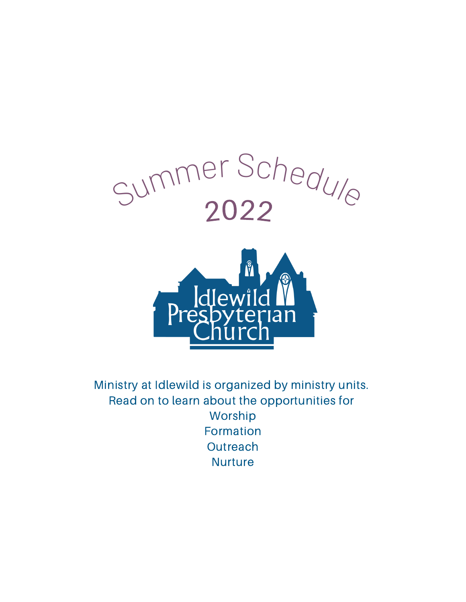

Ministry at Idlewild is organized by ministry units. Read on to learn about the opportunities for Worship Formation **Outreach Nurture**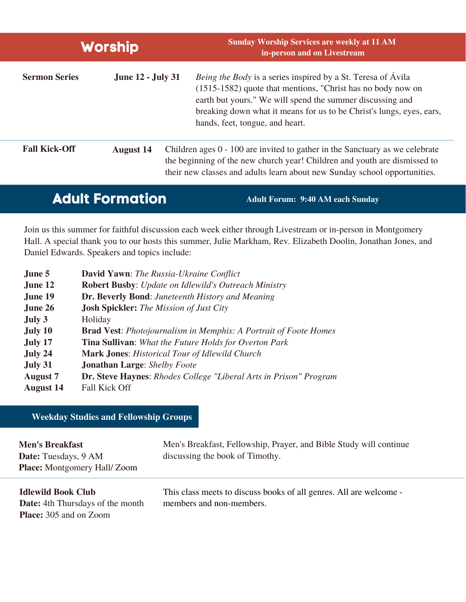| <b>Worship</b>       |                          | <b>Sunday Worship Services are weekly at 11 AM</b><br>in-person and on Livestream                                                                                                                                                                                                                          |  |
|----------------------|--------------------------|------------------------------------------------------------------------------------------------------------------------------------------------------------------------------------------------------------------------------------------------------------------------------------------------------------|--|
| <b>Sermon Series</b> | <b>June 12 - July 31</b> | <i>Being the Body</i> is a series inspired by a St. Teresa of Ávila<br>(1515-1582) quote that mentions, "Christ has no body now on<br>earth but yours." We will spend the summer discussing and<br>breaking down what it means for us to be Christ's lungs, eyes, ears,<br>hands, feet, tongue, and heart. |  |
| <b>Fall Kick-Off</b> | <b>August 14</b>         | Children ages $0 - 100$ are invited to gather in the Sanctuary as we celebrate<br>the beginning of the new church year! Children and youth are dismissed to<br>their new classes and adults learn about new Sunday school opportunities.                                                                   |  |

### **Adult Formation Adult Forum: 9:40 AM each Sunday**

Join us this summer for faithful discussion each week either through Livestream or in-person in Montgomery Hall. A special thank you to our hosts this summer, Julie Markham, Rev. Elizabeth Doolin, Jonathan Jones, and Daniel Edwards. Speakers and topics include:

| June 5           | <b>David Yawn:</b> The Russia-Ukraine Conflict                           |
|------------------|--------------------------------------------------------------------------|
| June 12          | <b>Robert Busby:</b> Update on Idlewild's Outreach Ministry              |
| <b>June 19</b>   | <b>Dr. Beverly Bond:</b> Juneteenth History and Meaning                  |
| June 26          | <b>Josh Spickler:</b> The Mission of Just City                           |
| July 3           | Holiday                                                                  |
| <b>July 10</b>   | <b>Brad Vest:</b> Photojournalism in Memphis: A Portrait of Foote Homes  |
| July 17          | <b>Tina Sullivan:</b> What the Future Holds for Overton Park             |
| July 24          | <b>Mark Jones:</b> Historical Tour of Idlewild Church                    |
| July 31          | <b>Jonathan Large:</b> Shelby Foote                                      |
| <b>August</b> 7  | <b>Dr. Steve Haynes:</b> Rhodes College "Liberal Arts in Prison" Program |
| <b>August 14</b> | <b>Fall Kick Off</b>                                                     |

#### **Weekday Studies and Fellowship Groups**

| <b>Men's Breakfast</b><br>Date: Tuesdays, 9 AM<br><b>Place:</b> Montgomery Hall/Zoom | Men's Breakfast, Fellowship, Prayer, and Bible Study will continue<br>discussing the book of Timothy. |
|--------------------------------------------------------------------------------------|-------------------------------------------------------------------------------------------------------|
| <b>Idlewild Book Club</b>                                                            | This class meets to discuss books of all genres. All are welcome -                                    |

**Date:** 4th Thursdays of the month **Place:** 305 and on Zoom

This class meets to discuss books of all genres. All are welcome members and non-members.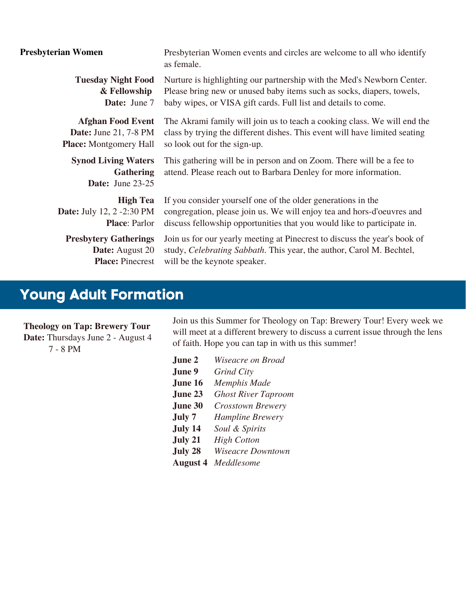| <b>Presbyterian Women</b>                                                 | Presbyterian Women events and circles are welcome to all who identify<br>as female.                                                      |
|---------------------------------------------------------------------------|------------------------------------------------------------------------------------------------------------------------------------------|
| <b>Tuesday Night Food</b>                                                 | Nurture is highlighting our partnership with the Med's Newborn Center.                                                                   |
| & Fellowship                                                              | Please bring new or unused baby items such as socks, diapers, towels,                                                                    |
| Date: June 7                                                              | baby wipes, or VISA gift cards. Full list and details to come.                                                                           |
| <b>Afghan Food Event</b>                                                  | The Akrami family will join us to teach a cooking class. We will end the                                                                 |
| <b>Date:</b> June 21, 7-8 PM                                              | class by trying the different dishes. This event will have limited seating                                                               |
| <b>Place:</b> Montgomery Hall                                             | so look out for the sign-up.                                                                                                             |
| <b>Synod Living Waters</b><br><b>Gathering</b><br><b>Date:</b> June 23-25 | This gathering will be in person and on Zoom. There will be a fee to<br>attend. Please reach out to Barbara Denley for more information. |
| <b>High Tea</b>                                                           | If you consider yourself one of the older generations in the                                                                             |
| <b>Date:</b> July 12, 2 -2:30 PM                                          | congregation, please join us. We will enjoy tea and hors-d'oeuvres and                                                                   |
| <b>Place: Parlor</b>                                                      | discuss fellowship opportunities that you would like to participate in.                                                                  |
| <b>Presbytery Gatherings</b>                                              | Join us for our yearly meeting at Pinecrest to discuss the year's book of                                                                |
| <b>Date:</b> August 20                                                    | study, Celebrating Sabbath. This year, the author, Carol M. Bechtel,                                                                     |
| <b>Place: Pinecrest</b>                                                   | will be the keynote speaker.                                                                                                             |

## **Young Adult Formation**

**Theology on Tap: Brewery Tour**

**Date:** Thursdays June 2 - August 4 7 - 8 PM

Join us this Summer for Theology on Tap: Brewery Tour! Every week we will meet at a different brewery to discuss a current issue through the lens of faith. Hope you can tap in with us this summer!

**June 2 June 9 June 16 June 23 June 30 July 7 July 14 July 21 July 28 August 4** *Meddlesome Wiseacre on Broad Grind City Memphis Made Ghost River Taproom Crosstown Brewery Hampline Brewery Soul & Spirits High Cotton Wiseacre Downtown*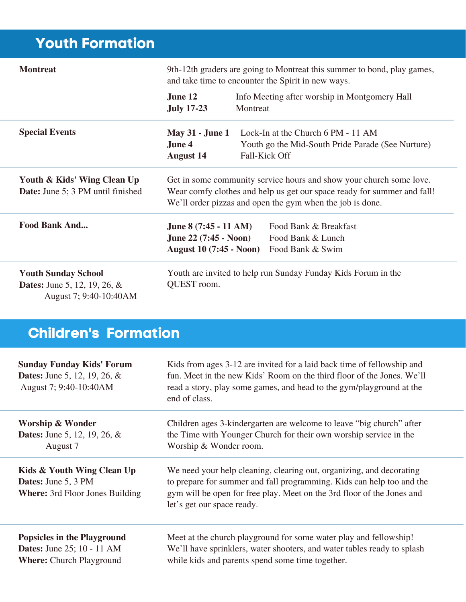# **Youth Formation**

| <b>Montreat</b>                                                                                | 9th-12th graders are going to Montreat this summer to bond, play games,<br>and take time to encounter the Spirit in new ways.                                                                               |                                                                                                                 |
|------------------------------------------------------------------------------------------------|-------------------------------------------------------------------------------------------------------------------------------------------------------------------------------------------------------------|-----------------------------------------------------------------------------------------------------------------|
|                                                                                                | June 12<br><b>July 17-23</b>                                                                                                                                                                                | Info Meeting after worship in Montgomery Hall<br>Montreat                                                       |
| <b>Special Events</b>                                                                          | <b>May 31 - June 1</b><br>June 4<br><b>August 14</b>                                                                                                                                                        | Lock-In at the Church 6 PM - 11 AM<br>Youth go the Mid-South Pride Parade (See Nurture)<br><b>Fall-Kick Off</b> |
| Youth & Kids' Wing Clean Up<br><b>Date:</b> June 5; 3 PM until finished                        | Get in some community service hours and show your church some love.<br>Wear comfy clothes and help us get our space ready for summer and fall!<br>We'll order pizzas and open the gym when the job is done. |                                                                                                                 |
| <b>Food Bank And</b>                                                                           | June $8(7:45 - 11$ AM)<br><b>June 22 (7:45 - Noon)</b><br><b>August 10 (7:45 - Noon)</b>                                                                                                                    | Food Bank & Breakfast<br>Food Bank & Lunch<br>Food Bank & Swim                                                  |
| <b>Youth Sunday School</b><br><b>Dates:</b> June 5, 12, 19, 26, $\&$<br>August 7; 9:40-10:40AM | Youth are invited to help run Sunday Funday Kids Forum in the<br>QUEST room.                                                                                                                                |                                                                                                                 |

# **Children's Formation**

| <b>Sunday Funday Kids' Forum</b><br><b>Dates:</b> June 5, 12, 19, 26, $\&$<br>August 7; 9:40-10:40AM | Kids from ages 3-12 are invited for a laid back time of fellowship and<br>fun. Meet in the new Kids' Room on the third floor of the Jones. We'll<br>read a story, play some games, and head to the gym/playground at the<br>end of class.             |
|------------------------------------------------------------------------------------------------------|-------------------------------------------------------------------------------------------------------------------------------------------------------------------------------------------------------------------------------------------------------|
| <b>Worship &amp; Wonder</b>                                                                          | Children ages 3-kindergarten are welcome to leave "big church" after                                                                                                                                                                                  |
| <b>Dates:</b> June 5, 12, 19, 26, $\&$                                                               | the Time with Younger Church for their own worship service in the                                                                                                                                                                                     |
| August 7                                                                                             | Worship & Wonder room.                                                                                                                                                                                                                                |
| Kids & Youth Wing Clean Up<br><b>Dates:</b> June 5, 3 PM<br><b>Where:</b> 3rd Floor Jones Building   | We need your help cleaning, clearing out, organizing, and decorating<br>to prepare for summer and fall programming. Kids can help too and the<br>gym will be open for free play. Meet on the 3rd floor of the Jones and<br>let's get our space ready. |
| <b>Popsicles in the Playground</b>                                                                   | Meet at the church playground for some water play and fellowship!                                                                                                                                                                                     |
| <b>Dates:</b> June 25; 10 - 11 AM                                                                    | We'll have sprinklers, water shooters, and water tables ready to splash                                                                                                                                                                               |
| <b>Where: Church Playground</b>                                                                      | while kids and parents spend some time together.                                                                                                                                                                                                      |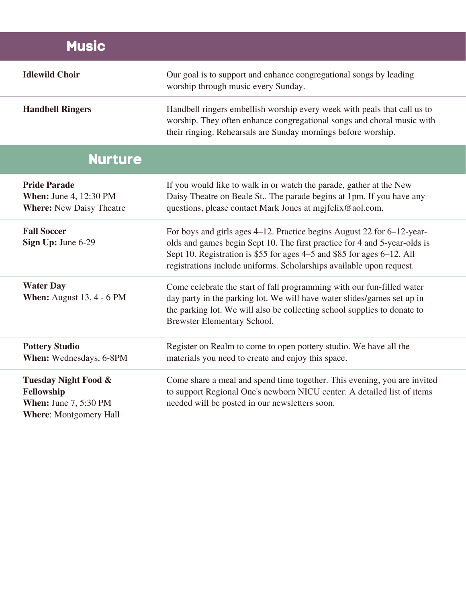| <b>Music</b>                                                                                                   |                                                                                                                                                                                                                                                                                                       |
|----------------------------------------------------------------------------------------------------------------|-------------------------------------------------------------------------------------------------------------------------------------------------------------------------------------------------------------------------------------------------------------------------------------------------------|
| <b>Idlewild Choir</b>                                                                                          | Our goal is to support and enhance congregational songs by leading<br>worship through music every Sunday.                                                                                                                                                                                             |
| <b>Handbell Ringers</b>                                                                                        | Handbell ringers embellish worship every week with peals that call us to<br>worship. They often enhance congregational songs and choral music with<br>their ringing. Rehearsals are Sunday mornings before worship.                                                                                   |
| <b>Nurture</b>                                                                                                 |                                                                                                                                                                                                                                                                                                       |
| <b>Pride Parade</b><br><b>When: June 4, 12:30 PM</b><br><b>Where: New Daisy Theatre</b>                        | If you would like to walk in or watch the parade, gather at the New<br>Daisy Theatre on Beale St The parade begins at 1pm. If you have any<br>questions, please contact Mark Jones at mgjfelix@aol.com.                                                                                               |
| <b>Fall Soccer</b><br>Sign Up: June 6-29                                                                       | For boys and girls ages 4–12. Practice begins August 22 for 6–12-year-<br>olds and games begin Sept 10. The first practice for 4 and 5-year-olds is<br>Sept 10. Registration is \$55 for ages 4–5 and \$85 for ages 6–12. All<br>registrations include uniforms. Scholarships available upon request. |
| <b>Water Day</b><br><b>When:</b> August 13, 4 - 6 PM                                                           | Come celebrate the start of fall programming with our fun-filled water<br>day party in the parking lot. We will have water slides/games set up in<br>the parking lot. We will also be collecting school supplies to donate to<br><b>Brewster Elementary School.</b>                                   |
| <b>Pottery Studio</b><br>When: Wednesdays, 6-8PM                                                               | Register on Realm to come to open pottery studio. We have all the<br>materials you need to create and enjoy this space.                                                                                                                                                                               |
| <b>Tuesday Night Food &amp;</b><br>Fellowship<br><b>When: June 7, 5:30 PM</b><br><b>Where: Montgomery Hall</b> | Come share a meal and spend time together. This evening, you are invited<br>to support Regional One's newborn NICU center. A detailed list of items<br>needed will be posted in our newsletters soon.                                                                                                 |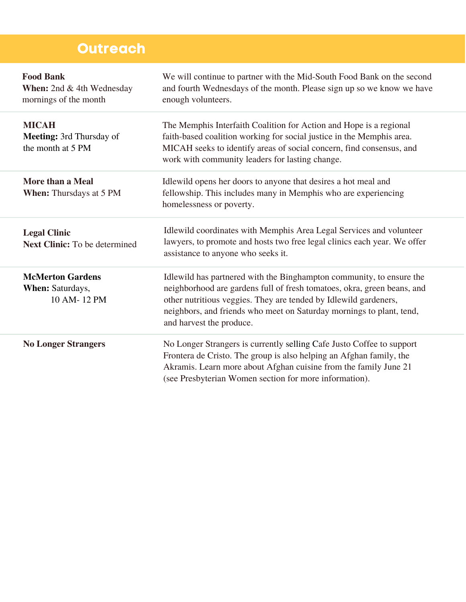## **Outreach**

| <b>Food Bank</b><br>When: 2nd & 4th Wednesday<br>mornings of the month | We will continue to partner with the Mid-South Food Bank on the second<br>and fourth Wednesdays of the month. Please sign up so we know we have<br>enough volunteers.                                                                                                                                                   |
|------------------------------------------------------------------------|-------------------------------------------------------------------------------------------------------------------------------------------------------------------------------------------------------------------------------------------------------------------------------------------------------------------------|
| <b>MICAH</b><br><b>Meeting:</b> 3rd Thursday of<br>the month at 5 PM   | The Memphis Interfaith Coalition for Action and Hope is a regional<br>faith-based coalition working for social justice in the Memphis area.<br>MICAH seeks to identify areas of social concern, find consensus, and<br>work with community leaders for lasting change.                                                  |
| More than a Meal<br>When: Thursdays at 5 PM                            | Idlewild opens her doors to anyone that desires a hot meal and<br>fellowship. This includes many in Memphis who are experiencing<br>homelessness or poverty.                                                                                                                                                            |
| <b>Legal Clinic</b><br><b>Next Clinic:</b> To be determined            | Idlewild coordinates with Memphis Area Legal Services and volunteer<br>lawyers, to promote and hosts two free legal clinics each year. We offer<br>assistance to anyone who seeks it.                                                                                                                                   |
| <b>McMerton Gardens</b><br>When: Saturdays,<br>10 AM-12 PM             | Idlewild has partnered with the Binghampton community, to ensure the<br>neighborhood are gardens full of fresh tomatoes, okra, green beans, and<br>other nutritious veggies. They are tended by Idlewild gardeners,<br>neighbors, and friends who meet on Saturday mornings to plant, tend,<br>and harvest the produce. |
| <b>No Longer Strangers</b>                                             | No Longer Strangers is currently selling Cafe Justo Coffee to support<br>Frontera de Cristo. The group is also helping an Afghan family, the<br>Akramis. Learn more about Afghan cuisine from the family June 21<br>(see Presbyterian Women section for more information).                                              |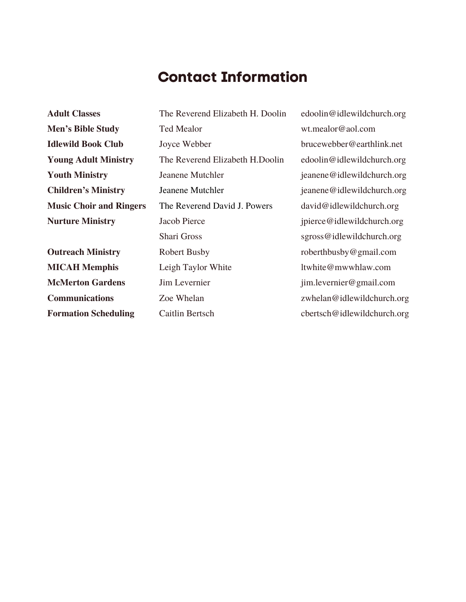### **Contact Information**

**Adult Classes Men's Bible Study Idlewild Book Club Young Adult Ministry Youth Ministry Children's Ministry Music Choir and Ringers Nurture Ministry**

**Outreach Ministry MICAH Memphis McMerton Gardens Communications Formation Scheduling**

The Reverend Elizabeth H. Doolin Ted Mealor Joyce Webber The Reverend Elizabeth H.Doolin Jeanene Mutchler Jeanene Mutchler The Reverend David J. Powers Jacob Pierce Shari Gross Robert Busby Leigh Taylor White Jim Levernier Zoe Whelan Caitlin Bertsch

edoolin@idlewildchurch.org wt.mealor@aol.com brucewebber@earthlink.net edoolin@idlewildchurch.org jeanene@idlewildchurch.org jeanene@idlewildchurch.org david@idlewildchurch.org jpierce@idlewildchurch.org sgross@idlewildchurch.org roberthbusby@gmail.com ltwhite@mwwhlaw.com jim.levernier@gmail.com zwhelan@idlewildchurch.org cbertsch@idlewildchurch.org